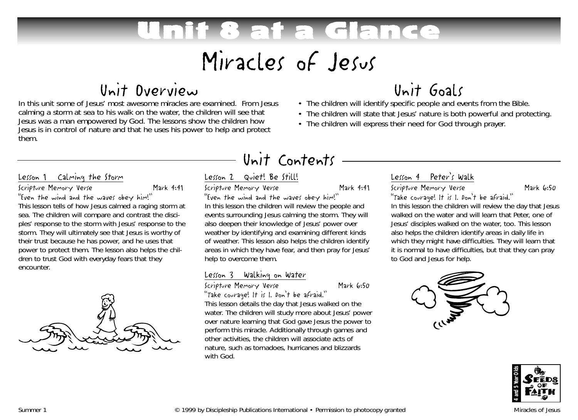# If 8 at a Gla Miracles of Jesus

### Unit Overview

In this unit some of Jesus' most awesome miracles are examined. From Jesus calming a storm at sea to his walk on the water, the children will see that Jesus was a man empowered by God. The lessons show the children how Jesus is in control of nature and that he uses his power to help and protect them.

#### Lesson 1 Calming the Storm

Scripture Memory Verse Mark 4:41 "Even the wind and the waves obey him!"

This lesson tells of how Jesus calmed a raging storm at sea. The children will compare and contrast the disciples' response to the storm with Jesus' response to the storm. They will ultimately see that Jesus is worthy of their trust because he has power, and he uses that power to protect them. The lesson also helps the children to trust God with everyday fears that they encounter.



### Unit Contents

#### Lesson 2 Quiet! Be Still!

Scripture Memory Verse Mark 4:41

"Even the wind and the waves obey him!"

In this lesson the children will review the people and events surrounding Jesus calming the storm. They will also deepen their knowledge of Jesus' power over weather by identifying and examining different kinds of weather. This lesson also helps the children identify areas in which they have fear, and then pray for Jesus' help to overcome them.

#### Lesson 3 Walking on Water

#### Scripture Memory Verse Mark 6:50

"Take courage! It is I. Don't be afraid." This lesson details the day that Jesus walked on the water. The children will study more about Jesus' power over nature learning that God gave Jesus the power to perform this miracle. Additionally through games and other activities, the children will associate acts of nature, such as tornadoes, hurricanes and blizzards with God.

## Unit Goals

- The children will identify specific people and events from the Bible.
- The children will state that Jesus' nature is both powerful and protecting.
- The children will express their need for God through prayer.

### Lesson 4 Peter's Walk

#### Scripture Memory Verse Mark 6:50

"Take courage! It is I. Don't be afraid." In this lesson the children will review the day that Jesus walked on the water and will learn that Peter, one of Jesus' disciples walked on the water, too. This lesson also helps the children identify areas in daily life in which they might have difficulties. They will learn that it is normal to have difficulties, but that they can pray to God and Jesus for help.